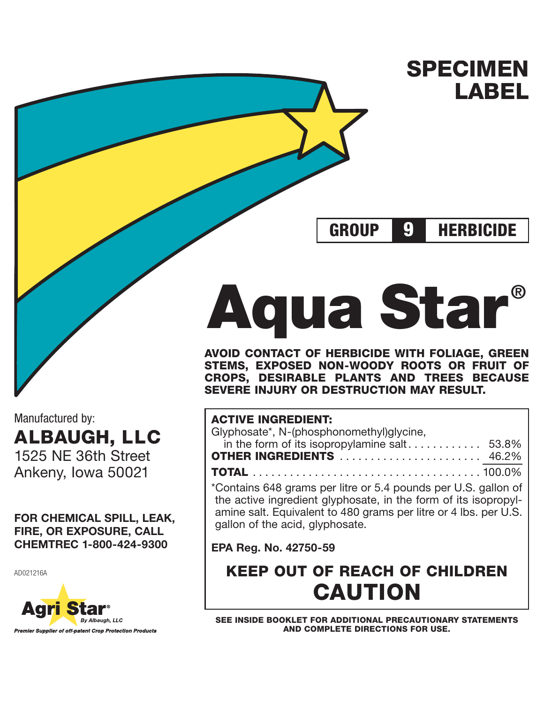**SPECIMEN LABEL**

**GROUP HERBICIDE 9**

**Aqua Star ® AVOID CONTACT OF HERBICIDE WITH FOLIAGE, GREEN STEMS, EXPOSED NON-WOODY ROOTS OR FRUIT OF CROPS, DESIRABLE PLANTS AND TREES BECAUSE SEVERE INJURY OR DESTRUCTION MAY RESULT.**

# **ACTIVE INGREDIENT:**

| Glyphosate*, N-(phosphonomethyl)glycine, |  |
|------------------------------------------|--|
|                                          |  |
| <b>OTHER INGREDIENTS</b> 46.2%           |  |
|                                          |  |

\*Contains 648 grams per litre or 5.4 pounds per U.S. gallon of the active ingredient glyphosate, in the form of its isopropylamine salt. Equivalent to 480 grams per litre or 4 lbs. per U.S. gallon of the acid, glyphosate.

**EPA Reg. No. 42750-59**

**KEEP OUT OF REACH OF CHILDREN CAUTION**

**SEE INSIDE BOOKLET FOR ADDITIONAL PRECAUTIONARY STATEMENTS AND COMPLETE DIRECTIONS FOR USE.**

Manufactured by: **ALBAUGH, LLC** 1525 NE 36th Street Ankeny, Iowa 50021

**FOR CHEMICAL SPILL, LEAK, FIRE, OR EXPOSURE, CALL CHEMTREC 1-800-424-9300**

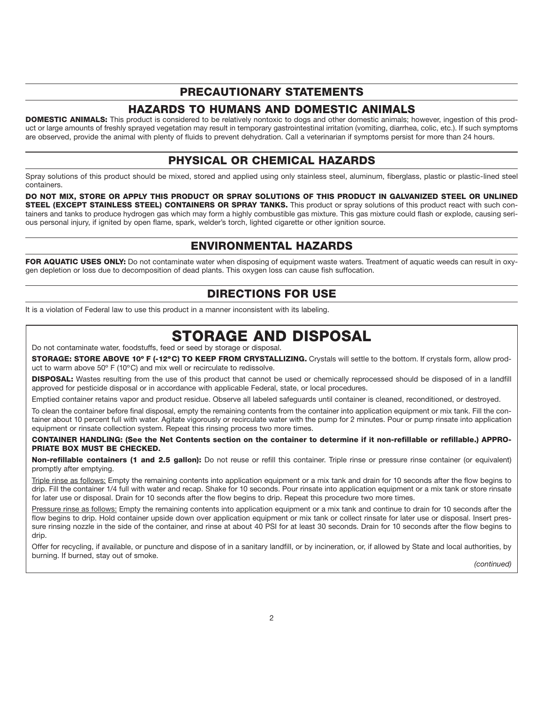# **PRECAUTIONARY STATEMENTS**

# **HAZARDS TO HUMANS AND DOMESTIC ANIMALS**

**DOMESTIC ANIMALS:** This product is considered to be relatively nontoxic to dogs and other domestic animals; however, ingestion of this product or large amounts of freshly sprayed vegetation may result in temporary gastrointestinal irritation (vomiting, diarrhea, colic, etc.). If such symptoms are observed, provide the animal with plenty of fluids to prevent dehydration. Call a veterinarian if symptoms persist for more than 24 hours.

# **PHYSICAL OR CHEMICAL HAZARDS**

Spray solutions of this product should be mixed, stored and applied using only stainless steel, aluminum, fiberglass, plastic or plastic-lined steel containers.

**DO NOT MIX, STORE OR APPLY THIS PRODUCT OR SPRAY SOLUTIONS OF THIS PRODUCT IN GALVANIZED STEEL OR UNLINED STEEL (EXCEPT STAINLESS STEEL) CONTAINERS OR SPRAY TANKS.** This product or spray solutions of this product react with such containers and tanks to produce hydrogen gas which may form a highly combustible gas mixture. This gas mixture could flash or explode, causing serious personal injury, if ignited by open flame, spark, welder's torch, lighted cigarette or other ignition source.

# **ENVIRONMENTAL HAZARDS**

**FOR AQUATIC USES ONLY:** Do not contaminate water when disposing of equipment waste waters. Treatment of aquatic weeds can result in oxygen depletion or loss due to decomposition of dead plants. This oxygen loss can cause fish suffocation.

# **DIRECTIONS FOR USE**

It is a violation of Federal law to use this product in a manner inconsistent with its labeling.

# **STORAGE AND DISPOSAL**

Do not contaminate water, foodstuffs, feed or seed by storage or disposal.

**STORAGE: STORE ABOVE 10º F (-12ºC) TO KEEP FROM CRYSTALLIZING.** Crystals will settle to the bottom. If crystals form, allow product to warm above 50º F (10ºC) and mix well or recirculate to redissolve.

**DISPOSAL:** Wastes resulting from the use of this product that cannot be used or chemically reprocessed should be disposed of in a landfill approved for pesticide disposal or in accordance with applicable Federal, state, or local procedures.

Emptied container retains vapor and product residue. Observe all labeled safeguards until container is cleaned, reconditioned, or destroyed.

To clean the container before final disposal, empty the remaining contents from the container into application equipment or mix tank. Fill the container about 10 percent full with water. Agitate vigorously or recirculate water with the pump for 2 minutes. Pour or pump rinsate into application equipment or rinsate collection system. Repeat this rinsing process two more times.

**CONTAINER HANDLING: (See the Net Contents section on the container to determine if it non-refillable or refillable.) APPRO-PRIATE BOX MUST BE CHECKED.**

**Non-refillable containers (1 and 2.5 gallon):** Do not reuse or refill this container. Triple rinse or pressure rinse container (or equivalent) promptly after emptying.

Triple rinse as follows: Empty the remaining contents into application equipment or a mix tank and drain for 10 seconds after the flow begins to drip. Fill the container 1/4 full with water and recap. Shake for 10 seconds. Pour rinsate into application equipment or a mix tank or store rinsate for later use or disposal. Drain for 10 seconds after the flow begins to drip. Repeat this procedure two more times.

Pressure rinse as follows: Empty the remaining contents into application equipment or a mix tank and continue to drain for 10 seconds after the flow begins to drip. Hold container upside down over application equipment or mix tank or collect rinsate for later use or disposal. Insert pressure rinsing nozzle in the side of the container, and rinse at about 40 PSI for at least 30 seconds. Drain for 10 seconds after the flow begins to drip.

Offer for recycling, if available, or puncture and dispose of in a sanitary landfill, or by incineration, or, if allowed by State and local authorities, by burning. If burned, stay out of smoke.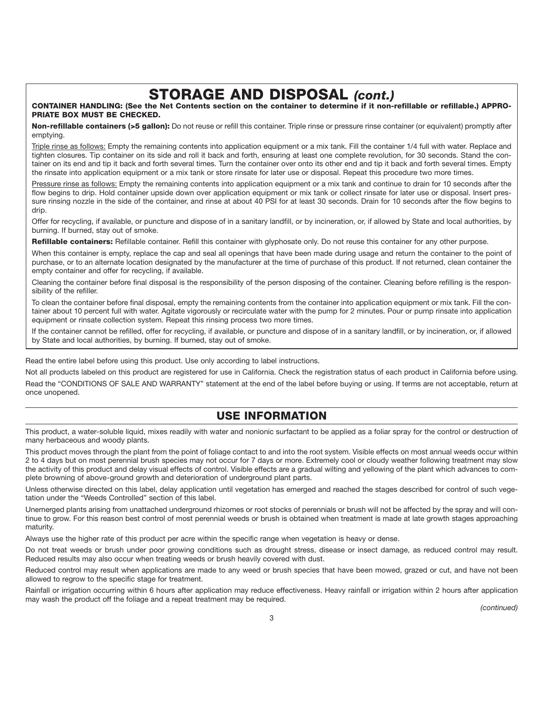# **STORAGE AND DISPOSAL** *(cont.)*

**CONTAINER HANDLING: (See the Net Contents section on the container to determine if it non-refillable or refillable.) APPRO-PRIATE BOX MUST BE CHECKED.**

**Non-refillable containers (>5 gallon):** Do not reuse or refill this container. Triple rinse or pressure rinse container (or equivalent) promptly after emptying.

Triple rinse as follows: Empty the remaining contents into application equipment or a mix tank. Fill the container 1/4 full with water. Replace and tighten closures. Tip container on its side and roll it back and forth, ensuring at least one complete revolution, for 30 seconds. Stand the container on its end and tip it back and forth several times. Turn the container over onto its other end and tip it back and forth several times. Empty the rinsate into application equipment or a mix tank or store rinsate for later use or disposal. Repeat this procedure two more times.

Pressure rinse as follows: Empty the remaining contents into application equipment or a mix tank and continue to drain for 10 seconds after the flow begins to drip. Hold container upside down over application equipment or mix tank or collect rinsate for later use or disposal. Insert pressure rinsing nozzle in the side of the container, and rinse at about 40 PSI for at least 30 seconds. Drain for 10 seconds after the flow begins to drip.

Offer for recycling, if available, or puncture and dispose of in a sanitary landfill, or by incineration, or, if allowed by State and local authorities, by burning. If burned, stay out of smoke.

**Refillable containers:** Refillable container. Refill this container with glyphosate only. Do not reuse this container for any other purpose.

When this container is empty, replace the cap and seal all openings that have been made during usage and return the container to the point of purchase, or to an alternate location designated by the manufacturer at the time of purchase of this product. If not returned, clean container the empty container and offer for recycling, if available.

Cleaning the container before final disposal is the responsibility of the person disposing of the container. Cleaning before refilling is the responsibility of the refiller.

To clean the container before final disposal, empty the remaining contents from the container into application equipment or mix tank. Fill the container about 10 percent full with water. Agitate vigorously or recirculate water with the pump for 2 minutes. Pour or pump rinsate into application equipment or rinsate collection system. Repeat this rinsing process two more times.

If the container cannot be refilled, offer for recycling, if available, or puncture and dispose of in a sanitary landfill, or by incineration, or, if allowed by State and local authorities, by burning. If burned, stay out of smoke.

Read the entire label before using this product. Use only according to label instructions.

Not all products labeled on this product are registered for use in California. Check the registration status of each product in California before using. Read the "CONDITIONS OF SALE AND WARRANTY" statement at the end of the label before buying or using. If terms are not acceptable, return at once unopened.

# **USE INFORMATION**

This product, a water-soluble liquid, mixes readily with water and nonionic surfactant to be applied as a foliar spray for the control or destruction of many herbaceous and woody plants.

This product moves through the plant from the point of foliage contact to and into the root system. Visible effects on most annual weeds occur within 2 to 4 days but on most perennial brush species may not occur for 7 days or more. Extremely cool or cloudy weather following treatment may slow the activity of this product and delay visual effects of control. Visible effects are a gradual wilting and yellowing of the plant which advances to complete browning of above-ground growth and deterioration of underground plant parts.

Unless otherwise directed on this label, delay application until vegetation has emerged and reached the stages described for control of such vegetation under the "Weeds Controlled" section of this label.

Unemerged plants arising from unattached underground rhizomes or root stocks of perennials or brush will not be affected by the spray and will continue to grow. For this reason best control of most perennial weeds or brush is obtained when treatment is made at late growth stages approaching maturity.

Always use the higher rate of this product per acre within the specific range when vegetation is heavy or dense.

Do not treat weeds or brush under poor growing conditions such as drought stress, disease or insect damage, as reduced control may result. Reduced results may also occur when treating weeds or brush heavily covered with dust.

Reduced control may result when applications are made to any weed or brush species that have been mowed, grazed or cut, and have not been allowed to regrow to the specific stage for treatment.

Rainfall or irrigation occurring within 6 hours after application may reduce effectiveness. Heavy rainfall or irrigation within 2 hours after application may wash the product off the foliage and a repeat treatment may be required.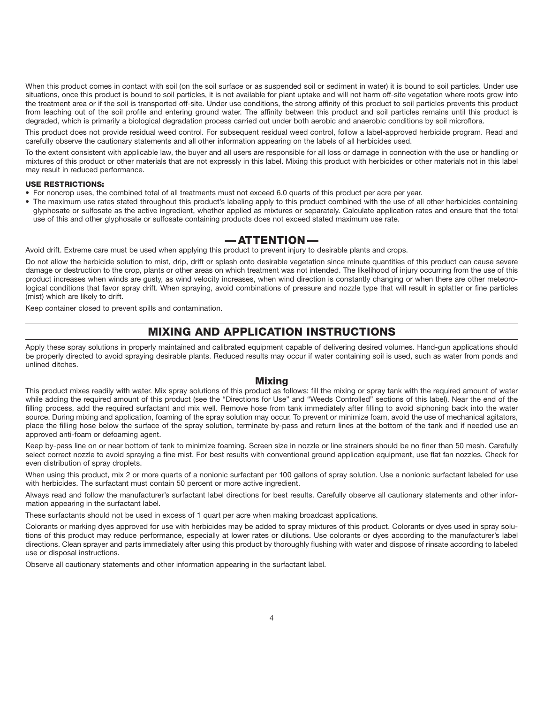When this product comes in contact with soil (on the soil surface or as suspended soil or sediment in water) it is bound to soil particles. Under use situations, once this product is bound to soil particles, it is not available for plant uptake and will not harm off-site vegetation where roots grow into the treatment area or if the soil is transported off-site. Under use conditions, the strong affinity of this product to soil particles prevents this product from leaching out of the soil profile and entering ground water. The affinity between this product and soil particles remains until this product is degraded, which is primarily a biological degradation process carried out under both aerobic and anaerobic conditions by soil microflora.

This product does not provide residual weed control. For subsequent residual weed control, follow a label-approved herbicide program. Read and carefully observe the cautionary statements and all other information appearing on the labels of all herbicides used.

To the extent consistent with applicable law, the buyer and all users are responsible for all loss or damage in connection with the use or handling or mixtures of this product or other materials that are not expressly in this label. Mixing this product with herbicides or other materials not in this label may result in reduced performance.

### **USE RESTRICTIONS:**

- For noncrop uses, the combined total of all treatments must not exceed 6.0 quarts of this product per acre per year.
- The maximum use rates stated throughout this product's labeling apply to this product combined with the use of all other herbicides containing glyphosate or sulfosate as the active ingredient, whether applied as mixtures or separately. Calculate application rates and ensure that the total use of this and other glyphosate or sulfosate containing products does not exceed stated maximum use rate.

# **— ATTENTION —**

Avoid drift. Extreme care must be used when applying this product to prevent injury to desirable plants and crops.

Do not allow the herbicide solution to mist, drip, drift or splash onto desirable vegetation since minute quantities of this product can cause severe damage or destruction to the crop, plants or other areas on which treatment was not intended. The likelihood of injury occurring from the use of this product increases when winds are gusty, as wind velocity increases, when wind direction is constantly changing or when there are other meteorological conditions that favor spray drift. When spraying, avoid combinations of pressure and nozzle type that will result in splatter or fine particles (mist) which are likely to drift.

Keep container closed to prevent spills and contamination.

# **MIXING AND APPLICATION INSTRUCTIONS**

Apply these spray solutions in properly maintained and calibrated equipment capable of delivering desired volumes. Hand-gun applications should be properly directed to avoid spraying desirable plants. Reduced results may occur if water containing soil is used, such as water from ponds and unlined ditches.

### **Mixing**

This product mixes readily with water. Mix spray solutions of this product as follows: fill the mixing or spray tank with the required amount of water while adding the required amount of this product (see the "Directions for Use" and "Weeds Controlled" sections of this label). Near the end of the filling process, add the required surfactant and mix well. Remove hose from tank immediately after filling to avoid siphoning back into the water source. During mixing and application, foaming of the spray solution may occur. To prevent or minimize foam, avoid the use of mechanical agitators, place the filling hose below the surface of the spray solution, terminate by-pass and return lines at the bottom of the tank and if needed use an approved anti-foam or defoaming agent.

Keep by-pass line on or near bottom of tank to minimize foaming. Screen size in nozzle or line strainers should be no finer than 50 mesh. Carefully select correct nozzle to avoid spraying a fine mist. For best results with conventional ground application equipment, use flat fan nozzles. Check for even distribution of spray droplets.

When using this product, mix 2 or more quarts of a nonionic surfactant per 100 gallons of spray solution. Use a nonionic surfactant labeled for use with herbicides. The surfactant must contain 50 percent or more active ingredient.

Always read and follow the manufacturer's surfactant label directions for best results. Carefully observe all cautionary statements and other information appearing in the surfactant label.

These surfactants should not be used in excess of 1 quart per acre when making broadcast applications.

Colorants or marking dyes approved for use with herbicides may be added to spray mixtures of this product. Colorants or dyes used in spray solutions of this product may reduce performance, especially at lower rates or dilutions. Use colorants or dyes according to the manufacturer's label directions. Clean sprayer and parts immediately after using this product by thoroughly flushing with water and dispose of rinsate according to labeled use or disposal instructions.

Observe all cautionary statements and other information appearing in the surfactant label.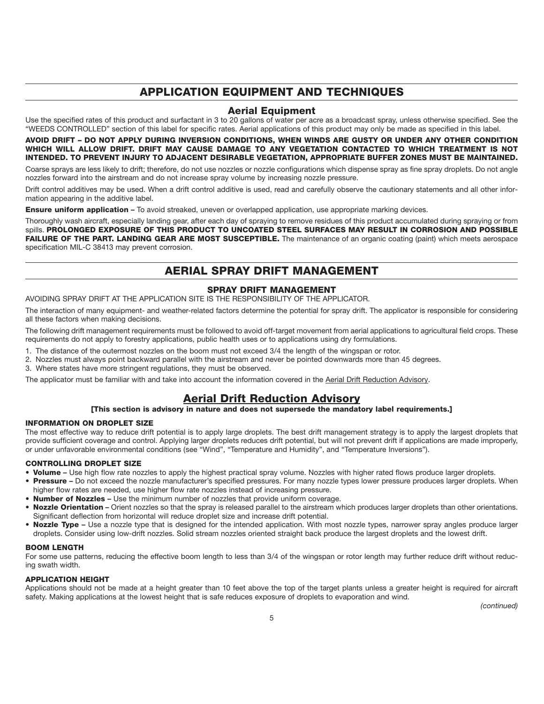# **APPLICATION EQUIPMENT AND TECHNIQUES**

### **Aerial Equipment**

Use the specified rates of this product and surfactant in 3 to 20 gallons of water per acre as a broadcast spray, unless otherwise specified. See the "WEEDS CONTROLLED" section of this label for specific rates. Aerial applications of this product may only be made as specified in this label.

### **AVOID DRIFT – DO NOT APPLY DURING INVERSION CONDITIONS, WHEN WINDS ARE GUSTY OR UNDER ANY OTHER CONDITION WHICH WILL ALLOW DRIFT. DRIFT MAY CAUSE DAMAGE TO ANY VEGETATION CONTACTED TO WHICH TREATMENT IS NOT INTENDED. TO PREVENT INJURY TO ADJACENT DESIRABLE VEGETATION, APPROPRIATE BUFFER ZONES MUST BE MAINTAINED.**

Coarse sprays are less likely to drift; therefore, do not use nozzles or nozzle configurations which dispense spray as fine spray droplets. Do not angle nozzles forward into the airstream and do not increase spray volume by increasing nozzle pressure.

Drift control additives may be used. When a drift control additive is used, read and carefully observe the cautionary statements and all other information appearing in the additive label.

**Ensure uniform application –** To avoid streaked, uneven or overlapped application, use appropriate marking devices.

Thoroughly wash aircraft, especially landing gear, after each day of spraying to remove residues of this product accumulated during spraying or from spills. **PROLONGED EXPOSURE OF THIS PRODUCT TO UNCOATED STEEL SURFACES MAY RESULT IN CORROSION AND POSSIBLE** FAILURE OF THE PART. LANDING GEAR ARE MOST SUSCEPTIBLE. The maintenance of an organic coating (paint) which meets aerospace specification MIL-C 38413 may prevent corrosion.

# **AERIAL SPRAY DRIFT MANAGEMENT**

### **SPRAY DRIFT MANAGEMENT**

AVOIDING SPRAY DRIFT AT THE APPLICATION SITE IS THE RESPONSIBILITY OF THE APPLICATOR.

The interaction of many equipment- and weather-related factors determine the potential for spray drift. The applicator is responsible for considering all these factors when making decisions.

The following drift management requirements must be followed to avoid off-target movement from aerial applications to agricultural field crops. These requirements do not apply to forestry applications, public health uses or to applications using dry formulations.

- 1. The distance of the outermost nozzles on the boom must not exceed 3/4 the length of the wingspan or rotor.
- 2. Nozzles must always point backward parallel with the airstream and never be pointed downwards more than 45 degrees.
- 3. Where states have more stringent regulations, they must be observed.

The applicator must be familiar with and take into account the information covered in the Aerial Drift Reduction Advisory.

# **Aerial Drift Reduction Advisory**

### **[This section is advisory in nature and does not supersede the mandatory label requirements.]**

#### **INFORMATION ON DROPLET SIZE**

The most effective way to reduce drift potential is to apply large droplets. The best drift management strategy is to apply the largest droplets that provide sufficient coverage and control. Applying larger droplets reduces drift potential, but will not prevent drift if applications are made improperly, or under unfavorable environmental conditions (see "Wind", "Temperature and Humidity", and "Temperature Inversions").

### **CONTROLLING DROPLET SIZE**

- **Volume** Use high flow rate nozzles to apply the highest practical spray volume. Nozzles with higher rated flows produce larger droplets.
- **Pressure** Do not exceed the nozzle manufacturer's specified pressures. For many nozzle types lower pressure produces larger droplets. When higher flow rates are needed, use higher flow rate nozzles instead of increasing pressure.
- **Number of Nozzles** Use the minimum number of nozzles that provide uniform coverage.
- **Nozzle Orientation** Orient nozzles so that the spray is released parallel to the airstream which produces larger droplets than other orientations. Significant deflection from horizontal will reduce droplet size and increase drift potential.
- **Nozzle Type** Use a nozzle type that is designed for the intended application. With most nozzle types, narrower spray angles produce larger droplets. Consider using low-drift nozzles. Solid stream nozzles oriented straight back produce the largest droplets and the lowest drift.

### **BOOM LENGTH**

For some use patterns, reducing the effective boom length to less than 3/4 of the wingspan or rotor length may further reduce drift without reducing swath width.

#### **APPLICATION HEIGHT**

Applications should not be made at a height greater than 10 feet above the top of the target plants unless a greater height is required for aircraft safety. Making applications at the lowest height that is safe reduces exposure of droplets to evaporation and wind.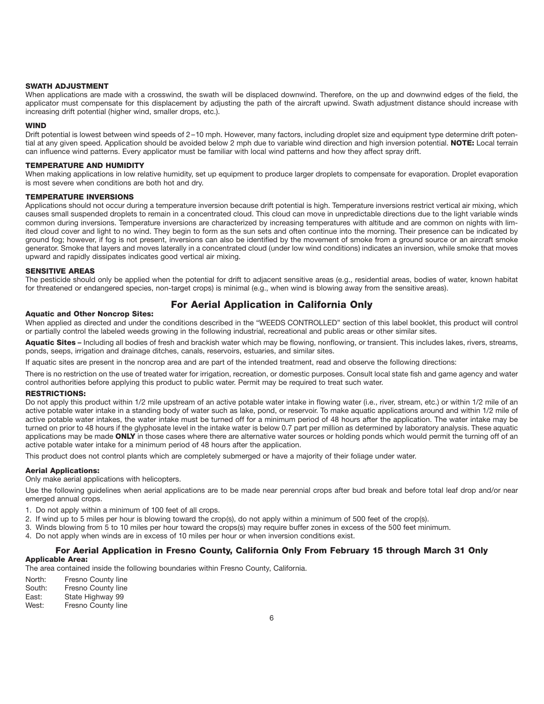#### **SWATH ADJUSTMENT**

When applications are made with a crosswind, the swath will be displaced downwind. Therefore, on the up and downwind edges of the field, the applicator must compensate for this displacement by adjusting the path of the aircraft upwind. Swath adjustment distance should increase with increasing drift potential (higher wind, smaller drops, etc.).

#### **WIND**

Drift potential is lowest between wind speeds of 2 –10 mph. However, many factors, including droplet size and equipment type determine drift potential at any given speed. Application should be avoided below 2 mph due to variable wind direction and high inversion potential. **NOTE:** Local terrain can influence wind patterns. Every applicator must be familiar with local wind patterns and how they affect spray drift.

#### **TEMPERATURE AND HUMIDITY**

When making applications in low relative humidity, set up equipment to produce larger droplets to compensate for evaporation. Droplet evaporation is most severe when conditions are both hot and dry.

#### **TEMPERATURE INVERSIONS**

Applications should not occur during a temperature inversion because drift potential is high. Temperature inversions restrict vertical air mixing, which causes small suspended droplets to remain in a concentrated cloud. This cloud can move in unpredictable directions due to the light variable winds common during inversions. Temperature inversions are characterized by increasing temperatures with altitude and are common on nights with limited cloud cover and light to no wind. They begin to form as the sun sets and often continue into the morning. Their presence can be indicated by ground fog; however, if fog is not present, inversions can also be identified by the movement of smoke from a ground source or an aircraft smoke generator. Smoke that layers and moves laterally in a concentrated cloud (under low wind conditions) indicates an inversion, while smoke that moves upward and rapidly dissipates indicates good vertical air mixing.

#### **SENSITIVE AREAS**

The pesticide should only be applied when the potential for drift to adjacent sensitive areas (e.g., residential areas, bodies of water, known habitat for threatened or endangered species, non-target crops) is minimal (e.g., when wind is blowing away from the sensitive areas).

### **For Aerial Application in California Only**

#### **Aquatic and Other Noncrop Sites:**

When applied as directed and under the conditions described in the "WEEDS CONTROLLED" section of this label booklet, this product will control or partially control the labeled weeds growing in the following industrial, recreational and public areas or other similar sites.

Aquatic Sites – Including all bodies of fresh and brackish water which may be flowing, nonflowing, or transient. This includes lakes, rivers, streams, ponds, seeps, irrigation and drainage ditches, canals, reservoirs, estuaries, and similar sites.

If aquatic sites are present in the noncrop area and are part of the intended treatment, read and observe the following directions:

There is no restriction on the use of treated water for irrigation, recreation, or domestic purposes. Consult local state fish and game agency and water control authorities before applying this product to public water. Permit may be required to treat such water.

#### **RESTRICTIONS:**

Do not apply this product within 1/2 mile upstream of an active potable water intake in flowing water (i.e., river, stream, etc.) or within 1/2 mile of an active potable water intake in a standing body of water such as lake, pond, or reservoir. To make aquatic applications around and within 1/2 mile of active potable water intakes, the water intake must be turned off for a minimum period of 48 hours after the application. The water intake may be turned on prior to 48 hours if the glyphosate level in the intake water is below 0.7 part per million as determined by laboratory analysis. These aquatic applications may be made **ONLY** in those cases where there are alternative water sources or holding ponds which would permit the turning off of an active potable water intake for a minimum period of 48 hours after the application.

This product does not control plants which are completely submerged or have a majority of their foliage under water.

#### **Aerial Applications:**

Only make aerial applications with helicopters.

Use the following guidelines when aerial applications are to be made near perennial crops after bud break and before total leaf drop and/or near emerged annual crops.

- 1. Do not apply within a minimum of 100 feet of all crops.
- 2. If wind up to 5 miles per hour is blowing toward the crop(s), do not apply within a minimum of 500 feet of the crop(s).
- 3. Winds blowing from 5 to 10 miles per hour toward the crops(s) may require buffer zones in excess of the 500 feet minimum.
- 4. Do not apply when winds are in excess of 10 miles per hour or when inversion conditions exist.

#### **For Aerial Application in Fresno County, California Only From February 15 through March 31 Only Applicable Area:**

The area contained inside the following boundaries within Fresno County, California.

| North: | Fresno County line |
|--------|--------------------|
| South: | Fresno County line |
| East:  | State Highway 99   |
| West:  | Fresno County line |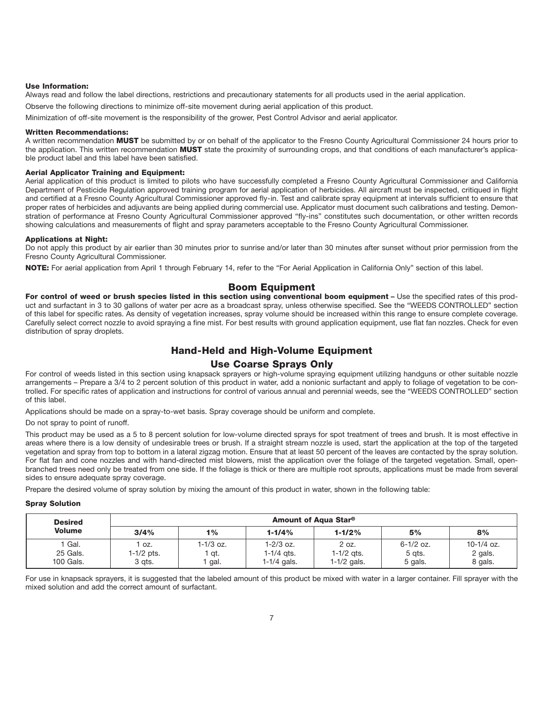#### **Use Information:**

Always read and follow the label directions, restrictions and precautionary statements for all products used in the aerial application.

Observe the following directions to minimize off-site movement during aerial application of this product.

Minimization of off-site movement is the responsibility of the grower, Pest Control Advisor and aerial applicator.

#### **Written Recommendations:**

A written recommendation **MUST** be submitted by or on behalf of the applicator to the Fresno County Agricultural Commissioner 24 hours prior to the application. This written recommendation **MUST** state the proximity of surrounding crops, and that conditions of each manufacturer's applicable product label and this label have been satisfied.

#### **Aerial Applicator Training and Equipment:**

Aerial application of this product is limited to pilots who have successfully completed a Fresno County Agricultural Commissioner and California Department of Pesticide Regulation approved training program for aerial application of herbicides. All aircraft must be inspected, critiqued in flight and certified at a Fresno County Agricultural Commissioner approved fly-in. Test and calibrate spray equipment at intervals sufficient to ensure that proper rates of herbicides and adjuvants are being applied during commercial use. Applicator must document such calibrations and testing. Demonstration of performance at Fresno County Agricultural Commissioner approved "fly-ins" constitutes such documentation, or other written records showing calculations and measurements of flight and spray parameters acceptable to the Fresno County Agricultural Commissioner.

#### **Applications at Night:**

Do not apply this product by air earlier than 30 minutes prior to sunrise and/or later than 30 minutes after sunset without prior permission from the Fresno County Agricultural Commissioner.

**NOTE:** For aerial application from April 1 through February 14, refer to the "For Aerial Application in California Only" section of this label.

### **Boom Equipment**

For control of weed or brush species listed in this section using conventional boom equipment - Use the specified rates of this product and surfactant in 3 to 30 gallons of water per acre as a broadcast spray, unless otherwise specified. See the "WEEDS CONTROLLED" section of this label for specific rates. As density of vegetation increases, spray volume should be increased within this range to ensure complete coverage. Carefully select correct nozzle to avoid spraying a fine mist. For best results with ground application equipment, use flat fan nozzles. Check for even distribution of spray droplets.

### **Hand-Held and High-Volume Equipment**

### **Use Coarse Sprays Only**

For control of weeds listed in this section using knapsack sprayers or high-volume spraying equipment utilizing handguns or other suitable nozzle arrangements – Prepare a 3/4 to 2 percent solution of this product in water, add a nonionic surfactant and apply to foliage of vegetation to be controlled. For specific rates of application and instructions for control of various annual and perennial weeds, see the "WEEDS CONTROLLED" section of this label.

Applications should be made on a spray-to-wet basis. Spray coverage should be uniform and complete.

Do not spray to point of runoff.

This product may be used as a 5 to 8 percent solution for low-volume directed sprays for spot treatment of trees and brush. It is most effective in areas where there is a low density of undesirable trees or brush. If a straight stream nozzle is used, start the application at the top of the targeted vegetation and spray from top to bottom in a lateral zigzag motion. Ensure that at least 50 percent of the leaves are contacted by the spray solution. For flat fan and cone nozzles and with hand-directed mist blowers, mist the application over the foliage of the targeted vegetation. Small, openbranched trees need only be treated from one side. If the foliage is thick or there are multiple root sprouts, applications must be made from several sides to ensure adequate spray coverage.

Prepare the desired volume of spray solution by mixing the amount of this product in water, shown in the following table:

#### **Spray Solution**

| <b>Desired</b>    | Amount of Aqua Star <sup>®</sup> |           |               |               |               |              |
|-------------------|----------------------------------|-----------|---------------|---------------|---------------|--------------|
| <b>Volume</b>     | 3/4%                             | 1%        | $1 - 1/4%$    | $1 - 1/2%$    | 5%            | 8%           |
| <sup>1</sup> Gal. | OZ.                              | 1-1/3 oz. | $1 - 2/3$ oz. | 2 oz.         | $6 - 1/2$ oz. | $10-1/4$ oz. |
| 25 Gals.          | 1-1/2 pts.                       | ' at.     | 1-1/4 ats.    | $1-1/2$ ats.  | 5 gts.        | 2 gals.      |
| 100 Gals.         | 3 gts.                           | ` gal.    | 1-1/4 gals.   | $1-1/2$ gals. | 5 gals.       | 8 gals.      |

For use in knapsack sprayers, it is suggested that the labeled amount of this product be mixed with water in a larger container. Fill sprayer with the mixed solution and add the correct amount of surfactant.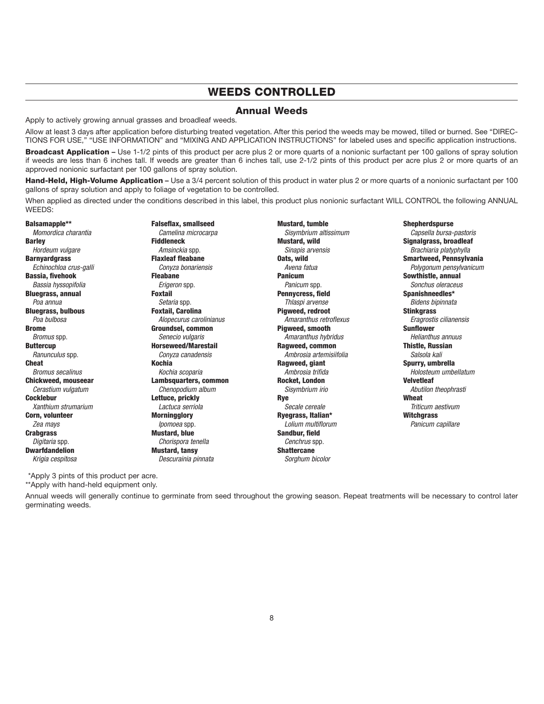# **WEEDS CONTROLLED**

### **Annual Weeds**

Apply to actively growing annual grasses and broadleaf weeds.

Allow at least 3 days after application before disturbing treated vegetation. After this period the weeds may be mowed, tilled or burned. See "DIREC-TIONS FOR USE," "USE INFORMATION" and "MIXING AND APPLICATION INSTRUCTIONS" for labeled uses and specific application instructions.

**Broadcast Application** – Use 1-1/2 pints of this product per acre plus 2 or more quarts of a nonionic surfactant per 100 gallons of spray solution if weeds are less than 6 inches tall. If weeds are greater than 6 inches tall, use 2-1/2 pints of this product per acre plus 2 or more quarts of an approved nonionic surfactant per 100 gallons of spray solution.

**Hand-Held, High-Volume Application** – Use a 3/4 percent solution of this product in water plus 2 or more quarts of a nonionic surfactant per 100 gallons of spray solution and apply to foliage of vegetation to be controlled.

When applied as directed under the conditions described in this label, this product plus nonionic surfactant WILL CONTROL the following ANNUAL WEEDS:

**Balsamapple\*\***  Momordica charantia **Barley**  Hordeum vulgare **Barnyardgrass**  Echinochloa crus-galli **Bassia, fivehook**  Bassia hyssopifolia **Bluegrass, annual**  Poa annua **Bluegrass, bulbous**  Poa bulbosa **Brome**  Bromus spp. **Buttercup**  Ranunculus spp. **Cheat**  Bromus secalinus **Chickweed, mouseear**  Cerastium vulgatum **Cocklebur**  Xanthium strumarium **Corn, volunteer**  Zea mays **Crabgrass**  Digitaria spp. **Dwarfdandelion**  Krigia cespitosa

**Falseflax, smallseed**  Camelina microcarpa **Fiddleneck**  Amsinckia spp. **Flaxleaf fleabane**  Conyza bonariensis **Fleabane**  Erigeron spp. **Foxtail**  Setaria spp. **Foxtail, Carolina**  Alopecurus carolinianus **Groundsel, common**  Senecio vulgaris **Horseweed/Marestail**  Conyza canadensis **Kochia** Kochia scoparia **Lambsquarters, common**  Chenopodium album **Lettuce, prickly**  Lactuca serriola **Morningglory**  Ipomoea spp. **Mustard, blue**  Chorispora tenella **Mustard, tansy**  Descurainia pinnata

**Mustard, tumble**  Sisymbrium altissimum **Mustard, wild**  Sinapis arvensis **Oats, wild**  Avena fatua **Panicum**  Panicum spp. **Pennycress, field**  Thlaspi arvense **Pigweed, redroot**  Amaranthus retroflexus **Pigweed, smooth**  Amaranthus hybridus **Ragweed, common** Ambrosia artemisiifolia **Ragweed, giant** Ambrosia trifida **Rocket, London** Sisymbrium irio **Rye** Secale cereale **Ryegrass, Italian\*** Lolium multiflorum **Sandbur, field** Cenchrus spp. **Shattercane** Sorghum bicolor

**Shepherdspurse** Capsella bursa-pastoris **Signalgrass, broadleaf** Brachiaria platyphylla **Smartweed, Pennsylvania** Polygonum pensylvanicum **Sowthistle, annual** Sonchus oleraceus **Spanishneedles\*** Bidens bipinnata **Stinkgrass** Eragrostis cilianensis **Sunflower** Helianthus annuus **Thistle, Russian** Salsola kali **Spurry, umbrella** Holosteum umbellatum **Velvetleaf** Abutilon theophrasti **Wheat** Triticum aestivum **Witchgrass** Panicum capillare

\*Apply 3 pints of this product per acre.

\*\*Apply with hand-held equipment only.

Annual weeds will generally continue to germinate from seed throughout the growing season. Repeat treatments will be necessary to control later germinating weeds.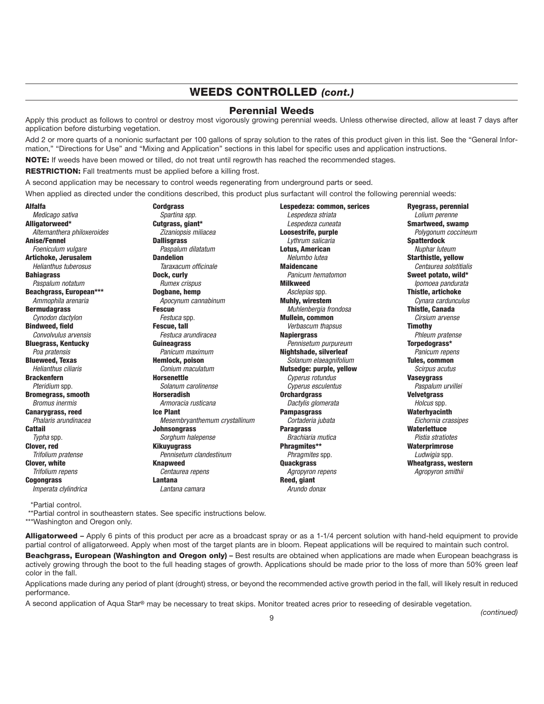# **WEEDS CONTROLLED** *(cont.)*

### **Perennial Weeds**

Apply this product as follows to control or destroy most vigorously growing perennial weeds. Unless otherwise directed, allow at least 7 days after application before disturbing vegetation.

Add 2 or more quarts of a nonionic surfactant per 100 gallons of spray solution to the rates of this product given in this list. See the "General Information," "Directions for Use" and "Mixing and Application" sections in this label for specific uses and application instructions.

**NOTE:** If weeds have been mowed or tilled, do not treat until regrowth has reached the recommended stages.

**RESTRICTION:** Fall treatments must be applied before a killing frost.

A second application may be necessary to control weeds regenerating from underground parts or seed.

When applied as directed under the conditions described, this product plus surfactant will control the following perennial weeds:

#### **Alfalfa**

Medicago sativa **Alligatorweed\***  Alternanthera philoxeroides **Anise/Fennel**  Foeniculum vulgare **Artichoke, Jerusalem**  Helianthus tuberosus **Bahiagrass**  Paspalum notatum **Beachgrass, European\*\*\***  Ammophila arenaria **Bermudagrass**  Cynodon dactylon **Bindweed, field**  Convolvulus arvensis **Bluegrass, Kentucky**  Poa pratensis **Blueweed, Texas**  Helianthus ciliaris **Brackenfern** Pteridium spp. **Bromegrass, smooth** Bromus inermis **Canarygrass, reed** Phalaris arundinacea **Cattail** Typha spp. **Clover, red**  Trifolium pratense **Clover, white**  Trifolium repens **Cogongrass**  Imperata clylindrica

**Cordgrass**  Spartina spp. **Cutgrass, giant\*** Zizaniopsis miliacea **Dallisgrass** Paspalum dilatatum **Dandelion** Taraxacum officinale **Dock, curly** Rumex crispus **Dogbane, hemp** Apocynum cannabinum **Fescue** Festuca spp. **Fescue, tall** Festuca arundiracea **Guineagrass** Panicum maximum **Hemlock, poison** Conium maculatum **Horsenettle** Solanum carolinense **Horseradish**  Armoracia rusticana **Ice Plant**  Mesembryanthemum crystallinum **Johnsongrass**  Sorghum halepense **Kikuyugrass**  Pennisetum clandestinum **Knapweed** Centaurea repens **Lantana** Lantana camara

**Lespedeza: common, serices** Lespedeza striata Lespedeza cuneata **Loosestrife, purple** Lythrum salicaria **Lotus, American** Nelumbo lutea **Maidencane** Panicum hematomon **Milkweed** Asclepias spp. **Muhly, wirestem** Muhlenbergia frondosa **Mullein, common** Verbascum thapsus **Napiergrass** Pennisetum purpureum **Nightshade, silverleaf** Solanum elaeagnifolium **Nutsedge: purple, yellow** Cyperus rotundus Cyperus esculentus **Orchardgrass** Dactylis glomerata **Pampasgrass** Cortaderia jubata **Paragrass** Brachiaria mutica **Phragmites\*\*** Phragmites spp. **Quackgrass**  Agropyron repens **Reed, giant**  Arundo donax

**Ryegrass, perennial**  Lolium perenne **Smartweed, swamp**  Polygonum coccineum **Spatterdock**  Nuphar luteum **Starthistle, yellow**  Centaurea solstitialis **Sweet potato, wild\***  Ipomoea pandurata **Thistle, artichoke**  Cynara cardunculus **Thistle, Canada**  Cirsium arvense **Timothy** Phleum pratense **Torpedograss\*** Panicum repens **Tules, common** Scirpus acutus **Vaseygrass** Paspalum urvillei **Velvetgrass** Holcus spp. **Waterhyacinth** Eichornia crassipes **Waterlettuce** Pistia stratiotes **Waterprimrose** Ludwigia spp. **Wheatgrass, western** Agropyron smithii

\*Partial control.

\*\*Partial control in southeastern states. See specific instructions below.

\*\*\*Washington and Oregon only.

**Alligatorweed –** Apply 6 pints of this product per acre as a broadcast spray or as a 1-1/4 percent solution with hand-held equipment to provide partial control of alligatorweed. Apply when most of the target plants are in bloom. Repeat applications will be required to maintain such control.

**Beachgrass, European (Washington and Oregon only) –** Best results are obtained when applications are made when European beachgrass is actively growing through the boot to the full heading stages of growth. Applications should be made prior to the loss of more than 50% green leaf color in the fall.

Applications made during any period of plant (drought) stress, or beyond the recommended active growth period in the fall, will likely result in reduced performance.

A second application of Aqua Star**®** may be necessary to treat skips. Monitor treated acres prior to reseeding of desirable vegetation.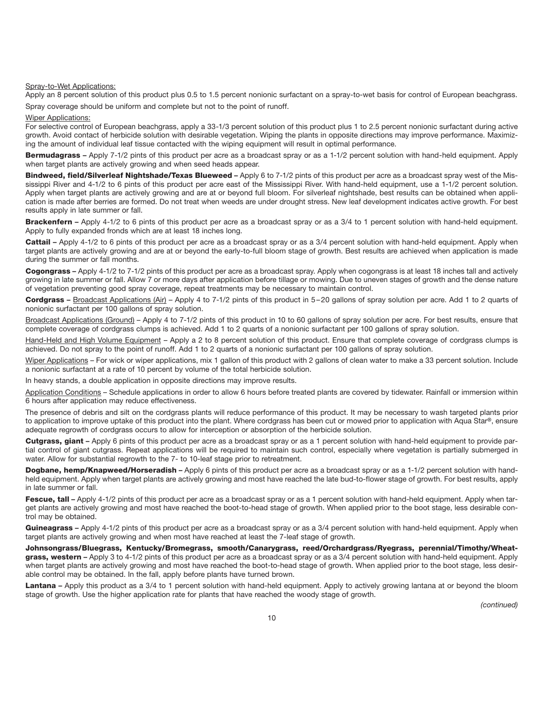#### Spray-to-Wet Applications:

Apply an 8 percent solution of this product plus 0.5 to 1.5 percent nonionic surfactant on a spray-to-wet basis for control of European beachgrass. Spray coverage should be uniform and complete but not to the point of runoff.

#### Wiper Applications:

For selective control of European beachgrass, apply a 33-1/3 percent solution of this product plus 1 to 2.5 percent nonionic surfactant during active growth. Avoid contact of herbicide solution with desirable vegetation. Wiping the plants in opposite directions may improve performance. Maximizing the amount of individual leaf tissue contacted with the wiping equipment will result in optimal performance.

**Bermudagrass –** Apply 7-1/2 pints of this product per acre as a broadcast spray or as a 1-1/2 percent solution with hand-held equipment. Apply when target plants are actively growing and when seed heads appear.

**Bindweed, field/Silverleaf Nightshade/Texas Blueweed –** Apply 6 to 7-1/2 pints of this product per acre as a broadcast spray west of the Mississippi River and 4-1/2 to 6 pints of this product per acre east of the Mississippi River. With hand-held equipment, use a 1-1/2 percent solution. Apply when target plants are actively growing and are at or beyond full bloom. For silverleaf nightshade, best results can be obtained when application is made after berries are formed. Do not treat when weeds are under drought stress. New leaf development indicates active growth. For best results apply in late summer or fall.

**Brackenfern –** Apply 4-1/2 to 6 pints of this product per acre as a broadcast spray or as a 3/4 to 1 percent solution with hand-held equipment. Apply to fully expanded fronds which are at least 18 inches long.

**Cattail** – Apply 4-1/2 to 6 pints of this product per acre as a broadcast spray or as a 3/4 percent solution with hand-held equipment. Apply when target plants are actively growing and are at or beyond the early-to-full bloom stage of growth. Best results are achieved when application is made during the summer or fall months.

**Cogongrass –** Apply 4-1/2 to 7-1/2 pints of this product per acre as a broadcast spray. Apply when cogongrass is at least 18 inches tall and actively growing in late summer or fall. Allow 7 or more days after application before tillage or mowing. Due to uneven stages of growth and the dense nature of vegetation preventing good spray coverage, repeat treatments may be necessary to maintain control.

**Cordgrass –** Broadcast Applications (Air) – Apply 4 to 7-1/2 pints of this product in 5 – 20 gallons of spray solution per acre. Add 1 to 2 quarts of nonionic surfactant per 100 gallons of spray solution.

Broadcast Applications (Ground) – Apply 4 to 7-1/2 pints of this product in 10 to 60 gallons of spray solution per acre. For best results, ensure that complete coverage of cordgrass clumps is achieved. Add 1 to 2 quarts of a nonionic surfactant per 100 gallons of spray solution.

Hand-Held and High Volume Equipment – Apply a 2 to 8 percent solution of this product. Ensure that complete coverage of cordgrass clumps is achieved. Do not spray to the point of runoff. Add 1 to 2 quarts of a nonionic surfactant per 100 gallons of spray solution.

Wiper Applications – For wick or wiper applications, mix 1 gallon of this product with 2 gallons of clean water to make a 33 percent solution. Include a nonionic surfactant at a rate of 10 percent by volume of the total herbicide solution.

In heavy stands, a double application in opposite directions may improve results.

Application Conditions - Schedule applications in order to allow 6 hours before treated plants are covered by tidewater. Rainfall or immersion within 6 hours after application may reduce effectiveness.

The presence of debris and silt on the cordgrass plants will reduce performance of this product. It may be necessary to wash targeted plants prior to application to improve uptake of this product into the plant. Where cordgrass has been cut or mowed prior to application with Aqua Star**®**, ensure adequate regrowth of cordgrass occurs to allow for interception or absorption of the herbicide solution.

**Cutgrass, giant –** Apply 6 pints of this product per acre as a broadcast spray or as a 1 percent solution with hand-held equipment to provide partial control of giant cutgrass. Repeat applications will be required to maintain such control, especially where vegetation is partially submerged in water. Allow for substantial regrowth to the 7- to 10-leaf stage prior to retreatment.

**Dogbane, hemp/Knapweed/Horseradish –** Apply 6 pints of this product per acre as a broadcast spray or as a 1-1/2 percent solution with handheld equipment. Apply when target plants are actively growing and most have reached the late bud-to-flower stage of growth. For best results, apply in late summer or fall.

Fescue, tall - Apply 4-1/2 pints of this product per acre as a broadcast spray or as a 1 percent solution with hand-held equipment. Apply when target plants are actively growing and most have reached the boot-to-head stage of growth. When applied prior to the boot stage, less desirable control may be obtained.

**Guineagrass –** Apply 4-1/2 pints of this product per acre as a broadcast spray or as a 3/4 percent solution with hand-held equipment. Apply when target plants are actively growing and when most have reached at least the 7-leaf stage of growth.

**Johnsongrass/Bluegrass, Kentucky/Bromegrass, smooth/Canarygrass, reed/Orchardgrass/Ryegrass, perennial/Timothy/Wheatgrass, western –** Apply 3 to 4-1/2 pints of this product per acre as a broadcast spray or as a 3/4 percent solution with hand-held equipment. Apply when target plants are actively growing and most have reached the boot-to-head stage of growth. When applied prior to the boot stage, less desirable control may be obtained. In the fall, apply before plants have turned brown.

Lantana – Apply this product as a 3/4 to 1 percent solution with hand-held equipment. Apply to actively growing lantana at or beyond the bloom stage of growth. Use the higher application rate for plants that have reached the woody stage of growth.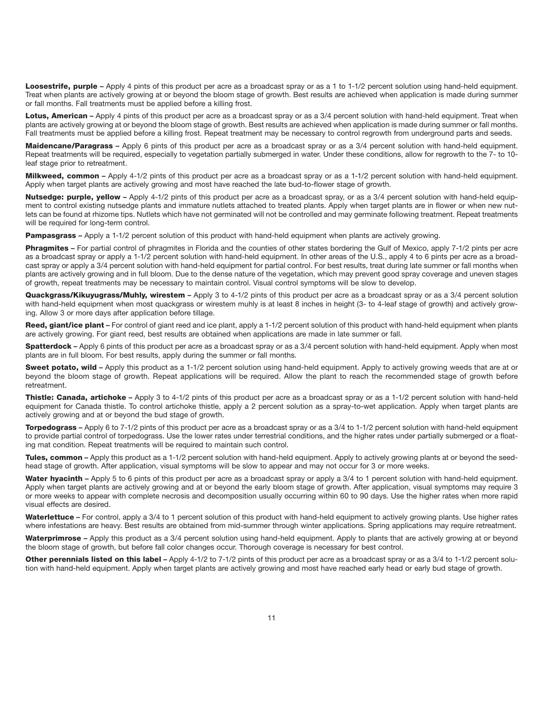**Loosestrife, purple** – Apply 4 pints of this product per acre as a broadcast spray or as a 1 to 1-1/2 percent solution using hand-held equipment. Treat when plants are actively growing at or beyond the bloom stage of growth. Best results are achieved when application is made during summer or fall months. Fall treatments must be applied before a killing frost.

**Lotus, American** – Apply 4 pints of this product per acre as a broadcast spray or as a 3/4 percent solution with hand-held equipment. Treat when plants are actively growing at or beyond the bloom stage of growth. Best results are achieved when application is made during summer or fall months. Fall treatments must be applied before a killing frost. Repeat treatment may be necessary to control regrowth from underground parts and seeds.

**Maidencane/Paragrass –** Apply 6 pints of this product per acre as a broadcast spray or as a 3/4 percent solution with hand-held equipment. Repeat treatments will be required, especially to vegetation partially submerged in water. Under these conditions, allow for regrowth to the 7- to 10 leaf stage prior to retreatment.

**Milkweed, common –** Apply 4-1/2 pints of this product per acre as a broadcast spray or as a 1-1/2 percent solution with hand-held equipment. Apply when target plants are actively growing and most have reached the late bud-to-flower stage of growth.

**Nutsedge: purple, yellow** – Apply 4-1/2 pints of this product per acre as a broadcast spray, or as a 3/4 percent solution with hand-held equipment to control existing nutsedge plants and immature nutlets attached to treated plants. Apply when target plants are in flower or when new nutlets can be found at rhizome tips. Nutlets which have not germinated will not be controlled and may germinate following treatment. Repeat treatments will be required for long-term control.

**Pampasgrass –** Apply a 1-1/2 percent solution of this product with hand-held equipment when plants are actively growing.

**Phragmites –** For partial control of phragmites in Florida and the counties of other states bordering the Gulf of Mexico, apply 7-1/2 pints per acre as a broadcast spray or apply a 1-1/2 percent solution with hand-held equipment. In other areas of the U.S., apply 4 to 6 pints per acre as a broadcast spray or apply a 3/4 percent solution with hand-held equipment for partial control. For best results, treat during late summer or fall months when plants are actively growing and in full bloom. Due to the dense nature of the vegetation, which may prevent good spray coverage and uneven stages of growth, repeat treatments may be necessary to maintain control. Visual control symptoms will be slow to develop.

**Quackgrass/Kikuyugrass/Muhly, wirestem –** Apply 3 to 4-1/2 pints of this product per acre as a broadcast spray or as a 3/4 percent solution with hand-held equipment when most quackgrass or wirestem muhly is at least 8 inches in height (3- to 4-leaf stage of growth) and actively growing. Allow 3 or more days after application before tillage.

**Reed, giant/ice plant –** For control of giant reed and ice plant, apply a 1-1/2 percent solution of this product with hand-held equipment when plants are actively growing. For giant reed, best results are obtained when applications are made in late summer or fall.

**Spatterdock –** Apply 6 pints of this product per acre as a broadcast spray or as a 3/4 percent solution with hand-held equipment. Apply when most plants are in full bloom. For best results, apply during the summer or fall months.

Sweet notato, wild - Apply this product as a 1-1/2 percent solution using hand-held equipment. Apply to actively growing weeds that are at or beyond the bloom stage of growth. Repeat applications will be required. Allow the plant to reach the recommended stage of growth before retreatment.

**Thistle: Canada, artichoke –** Apply 3 to 4-1/2 pints of this product per acre as a broadcast spray or as a 1-1/2 percent solution with hand-held equipment for Canada thistle. To control artichoke thistle, apply a 2 percent solution as a spray-to-wet application. Apply when target plants are actively growing and at or beyond the bud stage of growth.

**Torpedograss –** Apply 6 to 7-1/2 pints of this product per acre as a broadcast spray or as a 3/4 to 1-1/2 percent solution with hand-held equipment to provide partial control of torpedograss. Use the lower rates under terrestrial conditions, and the higher rates under partially submerged or a floating mat condition. Repeat treatments will be required to maintain such control.

**Tules, common** – Apply this product as a 1-1/2 percent solution with hand-held equipment. Apply to actively growing plants at or beyond the seedhead stage of growth. After application, visual symptoms will be slow to appear and may not occur for 3 or more weeks.

Water hyacinth - Apply 5 to 6 pints of this product per acre as a broadcast spray or apply a 3/4 to 1 percent solution with hand-held equipment. Apply when target plants are actively growing and at or beyond the early bloom stage of growth. After application, visual symptoms may require 3 or more weeks to appear with complete necrosis and decomposition usually occurring within 60 to 90 days. Use the higher rates when more rapid visual effects are desired.

Waterlettuce - For control, apply a 3/4 to 1 percent solution of this product with hand-held equipment to actively growing plants. Use higher rates where infestations are heavy. Best results are obtained from mid-summer through winter applications. Spring applications may require retreatment.

**Waterprimrose –** Apply this product as a 3/4 percent solution using hand-held equipment. Apply to plants that are actively growing at or beyond the bloom stage of growth, but before fall color changes occur. Thorough coverage is necessary for best control.

**Other perennials listed on this label –** Apply 4-1/2 to 7-1/2 pints of this product per acre as a broadcast spray or as a 3/4 to 1-1/2 percent solution with hand-held equipment. Apply when target plants are actively growing and most have reached early head or early bud stage of growth.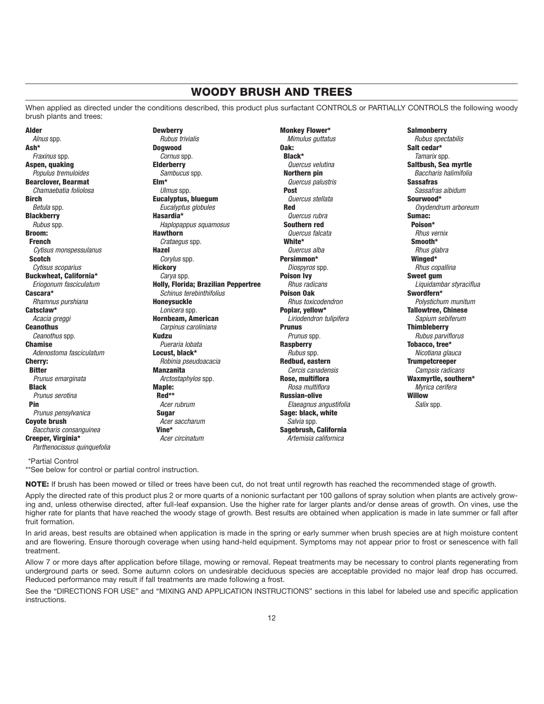# **WOODY BRUSH AND TREES**

When applied as directed under the conditions described, this product plus surfactant CONTROLS or PARTIALLY CONTROLS the following woody brush plants and trees:

**Alder** Alnus spp. **Ash\***  Fraxinus spp. **Aspen, quaking**  Populus tremuloides **Bearclover, Bearmat**  Chamaebatia foliolosa **Birch**  Betula spp. **Blackberry**  Rubus spp. **Broom: French** Cytisus monspessulanus **Scotch** Cytisus scoparius **Buckwheat, California\*** Eriogonum fasciculatum **Cascara\*** Rhamnus purshiana **Catsclaw\*** Acacia greggi **Ceanothus** Ceanothus spp. **Chamise** Adenostoma fasciculatum **Cherry: Bitter** Prunus emarginata **Black** Prunus serotina **Pin** Prunus pensylvanica **Coyote brush** Baccharis consanguinea **Creeper, Virginia\*** Parthenocissus quinquefolia **Dewberry** Rubus trivialis **Dogwood** Cornus spp. **Elderberry** Sambucus spp. **Elm\*** Ulmus spp. **Eucalyptus, bluegum** Eucalyptus globules **Hasardia\*** Haplopappus squamosus **Hawthorn** Crataegus spp. **Hazel**  Corylus spp. **Hickory** Carva spp. **Holly, Florida; Brazilian Peppertree**  Schinus terebinthifolius **Honeysuckle**  Lonicera spp. **Hornbeam, American**  Carpinus caroliniana **Kudzu**  Pueraria lobata **Locust, black\***  Robinia pseudoacacia **Manzanita**  Arctostaphylos spp. **Maple: Red\*\*** Acer rubrum **Sugar** Acer saccharum **Vine\*** Acer circinatum

**Monkey Flower\*** Mimulus guttatus **Oak: Black\*** Quercus velutina **Northern pin** Quercus palustris **Post** Quercus stellata **Red** Quercus rubra **Southern red** Quercus falcata **White\*** Quercus alba **Persimmon\*** Diospyros spp. **Poison Ivy** Rhus radicans **Poison Oak** Rhus toxicodendron **Poplar, yellow\*** Liriodendron tulipifera **Prunus** Prunus spp. **Raspberry Rubus spp. Redbud, eastern** Cercis canadensis **Rose, multiflora** Rosa multiflora **Russian-olive** Elaeagnus angustifolia **Sage: black, white**  Salvia spp. **Sagebrush, California**  Artemisia californica

**Salmonberry**  Rubus spectabilis **Salt cedar\***  Tamarix spp. **Saltbush, Sea myrtle**  Baccharis halimifolia **Sassafras**  Sassafras aibidum **Sourwood\***  Oxydendrum arboreum **Sumac: Poison\*** Rhus vernix **Smooth\*** Rhus glabra **Winged\*** Rhus copallina **Sweet gum** Liquidambar styraciflua **Swordfern\*** Polystichum munitum **Tallowtree, Chinese** Sapium sebiferum **Thimbleberry** Rubus parviflorus **Tobacco, tree\*** Nicotiana glauca **Trumpetcreeper** Campsis radicans **Waxmyrtle, southern\*** Myrica cerifera **Willow** Salix spp.

\*Partial Control

\*\*See below for control or partial control instruction.

**NOTE:** If brush has been mowed or tilled or trees have been cut, do not treat until regrowth has reached the recommended stage of growth.

Apply the directed rate of this product plus 2 or more quarts of a nonionic surfactant per 100 gallons of spray solution when plants are actively growing and, unless otherwise directed, after full-leaf expansion. Use the higher rate for larger plants and/or dense areas of growth. On vines, use the higher rate for plants that have reached the woody stage of growth. Best results are obtained when application is made in late summer or fall after fruit formation.

In arid areas, best results are obtained when application is made in the spring or early summer when brush species are at high moisture content and are flowering. Ensure thorough coverage when using hand-held equipment. Symptoms may not appear prior to frost or senescence with fall treatment.

Allow 7 or more days after application before tillage, mowing or removal. Repeat treatments may be necessary to control plants regenerating from underground parts or seed. Some autumn colors on undesirable deciduous species are acceptable provided no major leaf drop has occurred. Reduced performance may result if fall treatments are made following a frost.

See the "DIRECTIONS FOR USE" and "MIXING AND APPLICATION INSTRUCTIONS" sections in this label for labeled use and specific application instructions.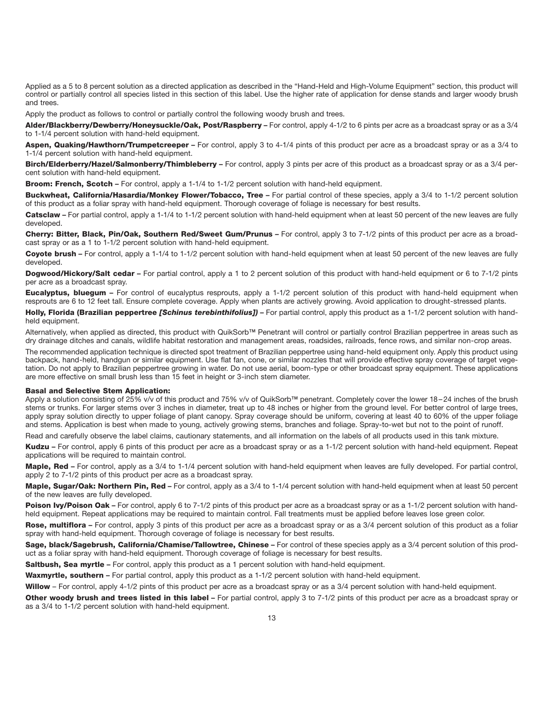Applied as a 5 to 8 percent solution as a directed application as described in the "Hand-Held and High-Volume Equipment" section, this product will control or partially control all species listed in this section of this label. Use the higher rate of application for dense stands and larger woody brush and trees.

Apply the product as follows to control or partially control the following woody brush and trees.

**Alder/Blackberry/Dewberry/Honeysuckle/Oak, Post/Raspberry –** For control, apply 4-1/2 to 6 pints per acre as a broadcast spray or as a 3/4 to 1-1/4 percent solution with hand-held equipment.

**Aspen, Quaking/Hawthorn/Trumpetcreeper –** For control, apply 3 to 4-1/4 pints of this product per acre as a broadcast spray or as a 3/4 to 1-1/4 percent solution with hand-held equipment.

**Birch/Elderberry/Hazel/Salmonberry/Thimbleberry –** For control, apply 3 pints per acre of this product as a broadcast spray or as a 3/4 percent solution with hand-held equipment.

**Broom: French, Scotch –** For control, apply a 1-1/4 to 1-1/2 percent solution with hand-held equipment.

**Buckwheat, California/Hasardia/Monkey Flower/Tobacco, Tree –** For partial control of these species, apply a 3/4 to 1-1/2 percent solution of this product as a foliar spray with hand-held equipment. Thorough coverage of foliage is necessary for best results.

**Catsclaw –** For partial control, apply a 1-1/4 to 1-1/2 percent solution with hand-held equipment when at least 50 percent of the new leaves are fully developed.

**Cherry: Bitter, Black, Pin/Oak, Southern Red/Sweet Gum/Prunus –** For control, apply 3 to 7-1/2 pints of this product per acre as a broadcast spray or as a 1 to 1-1/2 percent solution with hand-held equipment.

**Coyote brush –** For control, apply a 1-1/4 to 1-1/2 percent solution with hand-held equipment when at least 50 percent of the new leaves are fully developed.

**Dogwood/Hickory/Salt cedar –** For partial control, apply a 1 to 2 percent solution of this product with hand-held equipment or 6 to 7-1/2 pints per acre as a broadcast spray.

**Eucalyptus, bluegum –** For control of eucalyptus resprouts, apply a 1-1/2 percent solution of this product with hand-held equipment when resprouts are 6 to 12 feet tall. Ensure complete coverage. Apply when plants are actively growing. Avoid application to drought-stressed plants.

**Holly, Florida (Brazilian peppertree** *[Schinus terebinthifolius])* **–** For partial control, apply this product as a 1-1/2 percent solution with handheld equipment.

Alternatively, when applied as directed, this product with QuikSorb**™** Penetrant will control or partially control Brazilian peppertree in areas such as dry drainage ditches and canals, wildlife habitat restoration and management areas, roadsides, railroads, fence rows, and similar non-crop areas.

The recommended application technique is directed spot treatment of Brazilian peppertree using hand-held equipment only. Apply this product using backpack, hand-held, handgun or similar equipment. Use flat fan, cone, or similar nozzles that will provide effective spray coverage of target vegetation. Do not apply to Brazilian peppertree growing in water. Do not use aerial, boom-type or other broadcast spray equipment. These applications are more effective on small brush less than 15 feet in height or 3-inch stem diameter.

#### **Basal and Selective Stem Application:**

Apply a solution consisting of 25% v/v of this product and 75% v/v of QuikSorb**™** penetrant. Completely cover the lower 18 – 24 inches of the brush stems or trunks. For larger stems over 3 inches in diameter, treat up to 48 inches or higher from the ground level. For better control of large trees, apply spray solution directly to upper foliage of plant canopy. Spray coverage should be uniform, covering at least 40 to 60% of the upper foliage and stems. Application is best when made to young, actively growing stems, branches and foliage. Spray-to-wet but not to the point of runoff.

Read and carefully observe the label claims, cautionary statements, and all information on the labels of all products used in this tank mixture.

**Kudzu –** For control, apply 6 pints of this product per acre as a broadcast spray or as a 1-1/2 percent solution with hand-held equipment. Repeat applications will be required to maintain control.

**Maple, Red** – For control, apply as a 3/4 to 1-1/4 percent solution with hand-held equipment when leaves are fully developed. For partial control, apply 2 to 7-1/2 pints of this product per acre as a broadcast spray.

**Maple, Sugar/Oak: Northern Pin, Red –** For control, apply as a 3/4 to 1-1/4 percent solution with hand-held equipment when at least 50 percent of the new leaves are fully developed.

**Poison Ivy/Poison Oak** – For control, apply 6 to 7-1/2 pints of this product per acre as a broadcast spray or as a 1-1/2 percent solution with handheld equipment. Repeat applications may be required to maintain control. Fall treatments must be applied before leaves lose green color.

**Rose, multiflora –** For control, apply 3 pints of this product per acre as a broadcast spray or as a 3/4 percent solution of this product as a foliar spray with hand-held equipment. Thorough coverage of foliage is necessary for best results.

**Sage, black/Sagebrush, California/Chamise/Tallowtree, Chinese –** For control of these species apply as a 3/4 percent solution of this product as a foliar spray with hand-held equipment. Thorough coverage of foliage is necessary for best results.

**Saltbush, Sea myrtle** – For control, apply this product as a 1 percent solution with hand-held equipment.

**Waxmyrtle, southern –** For partial control, apply this product as a 1-1/2 percent solution with hand-held equipment.

**Willow** – For control, apply 4-1/2 pints of this product per acre as a broadcast spray or as a 3/4 percent solution with hand-held equipment.

**Other woody brush and trees listed in this label -** For partial control, apply 3 to 7-1/2 pints of this product per acre as a broadcast spray or as a 3/4 to 1-1/2 percent solution with hand-held equipment.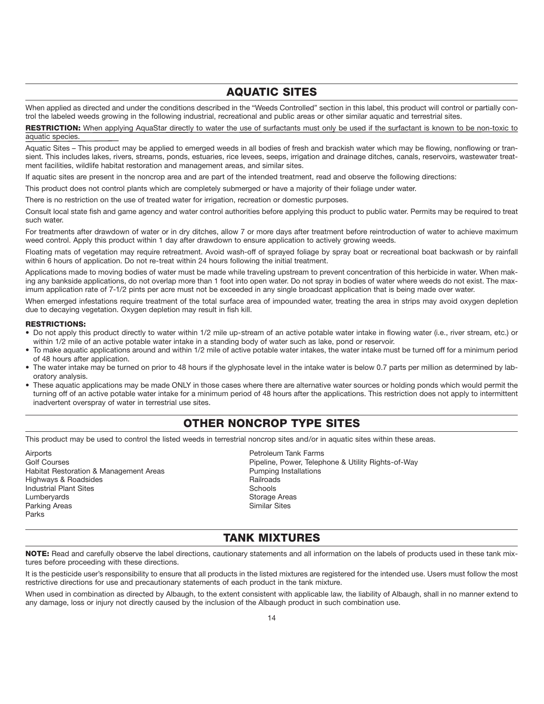# **AQUATIC SITES**

When applied as directed and under the conditions described in the "Weeds Controlled" section in this label, this product will control or partially control the labeled weeds growing in the following industrial, recreational and public areas or other similar aquatic and terrestrial sites.

RESTRICTION: When applying AquaStar directly to water the use of surfactants must only be used if the surfactant is known to be non-toxic to aquatic species.

Aquatic Sites – This product may be applied to emerged weeds in all bodies of fresh and brackish water which may be flowing, nonflowing or transient. This includes lakes, rivers, streams, ponds, estuaries, rice levees, seeps, irrigation and drainage ditches, canals, reservoirs, wastewater treatment facilities, wildlife habitat restoration and management areas, and similar sites.

If aquatic sites are present in the noncrop area and are part of the intended treatment, read and observe the following directions:

This product does not control plants which are completely submerged or have a majority of their foliage under water.

There is no restriction on the use of treated water for irrigation, recreation or domestic purposes.

Consult local state fish and game agency and water control authorities before applying this product to public water. Permits may be required to treat such water.

For treatments after drawdown of water or in dry ditches, allow 7 or more days after treatment before reintroduction of water to achieve maximum weed control. Apply this product within 1 day after drawdown to ensure application to actively growing weeds.

Floating mats of vegetation may require retreatment. Avoid wash-off of sprayed foliage by spray boat or recreational boat backwash or by rainfall within 6 hours of application. Do not re-treat within 24 hours following the initial treatment.

Applications made to moving bodies of water must be made while traveling upstream to prevent concentration of this herbicide in water. When making any bankside applications, do not overlap more than 1 foot into open water. Do not spray in bodies of water where weeds do not exist. The maximum application rate of 7-1/2 pints per acre must not be exceeded in any single broadcast application that is being made over water.

When emerged infestations require treatment of the total surface area of impounded water, treating the area in strips may avoid oxygen depletion due to decaying vegetation. Oxygen depletion may result in fish kill.

#### **RESTRICTIONS:**

- Do not apply this product directly to water within 1/2 mile up-stream of an active potable water intake in flowing water (i.e., river stream, etc.) or within 1/2 mile of an active potable water intake in a standing body of water such as lake, pond or reservoir.
- To make aquatic applications around and within 1/2 mile of active potable water intakes, the water intake must be turned off for a minimum period of 48 hours after application.
- The water intake may be turned on prior to 48 hours if the glyphosate level in the intake water is below 0.7 parts per million as determined by laboratory analysis.
- These aquatic applications may be made ONLY in those cases where there are alternative water sources or holding ponds which would permit the turning off of an active potable water intake for a minimum period of 48 hours after the applications. This restriction does not apply to intermittent inadvertent overspray of water in terrestrial use sites.

# **OTHER NONCROP TYPE SITES**

This product may be used to control the listed weeds in terrestrial noncrop sites and/or in aquatic sites within these areas.

Airports Petroleum Tank Farms Habitat Restoration & Management Areas **Pumping Installations**<br>
Highways & Roadsides<br>
Highways & Roadsides Mighways & Roadsides and Communications of the Railroad Railroad Railroad Railroad Schools and Railroad Railroad<br>Railroad Railroad Railroad Railroad Railroad Railroad Schools and Railroad Railroad Railroad Railroad Railroa **Industrial Plant Sites** Lumberyards **Storage Areas** Parking Areas **Similar Sites** Similar Sites **Similar Sites** Parks

Golf Courses **Pipeline, Power, Telephone & Utility Rights-of-Way** 

### **TANK MIXTURES**

**NOTE:** Read and carefully observe the label directions, cautionary statements and all information on the labels of products used in these tank mixtures before proceeding with these directions.

It is the pesticide user's responsibility to ensure that all products in the listed mixtures are registered for the intended use. Users must follow the most restrictive directions for use and precautionary statements of each product in the tank mixture.

When used in combination as directed by Albaugh, to the extent consistent with applicable law, the liability of Albaugh, shall in no manner extend to any damage, loss or injury not directly caused by the inclusion of the Albaugh product in such combination use.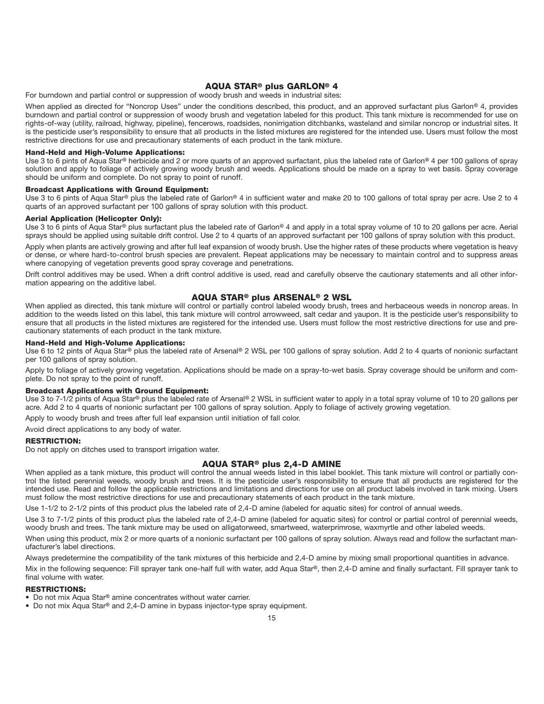### **AQUA STAR® plus GARLON® 4**

For burndown and partial control or suppression of woody brush and weeds in industrial sites:

When applied as directed for "Noncrop Uses" under the conditions described, this product, and an approved surfactant plus Garlon**®** 4, provides burndown and partial control or suppression of woody brush and vegetation labeled for this product. This tank mixture is recommended for use on rights-of-way (utility, railroad, highway, pipeline), fencerows, roadsides, nonirrigation ditchbanks, wasteland and similar noncrop or industrial sites. It is the pesticide user's responsibility to ensure that all products in the listed mixtures are registered for the intended use. Users must follow the most restrictive directions for use and precautionary statements of each product in the tank mixture.

#### **Hand-Held and High-Volume Applications:**

Use 3 to 6 pints of Aqua Star**®** herbicide and 2 or more quarts of an approved surfactant, plus the labeled rate of Garlon**®** 4 per 100 gallons of spray solution and apply to foliage of actively growing woody brush and weeds. Applications should be made on a spray to wet basis. Spray coverage should be uniform and complete. Do not spray to point of runoff.

#### **Broadcast Applications with Ground Equipment:**

Use 3 to 6 pints of Aqua Star**®** plus the labeled rate of Garlon**®** 4 in sufficient water and make 20 to 100 gallons of total spray per acre. Use 2 to 4 quarts of an approved surfactant per 100 gallons of spray solution with this product.

#### **Aerial Application (Helicopter Only):**

Use 3 to 6 pints of Aqua Star**®** plus surfactant plus the labeled rate of Garlon**®** 4 and apply in a total spray volume of 10 to 20 gallons per acre. Aerial sprays should be applied using suitable drift control. Use 2 to 4 quarts of an approved surfactant per 100 gallons of spray solution with this product.

Apply when plants are actively growing and after full leaf expansion of woody brush. Use the higher rates of these products where vegetation is heavy or dense, or where hard-to-control brush species are prevalent. Repeat applications may be necessary to maintain control and to suppress areas where canopying of vegetation prevents good spray coverage and penetrations.

Drift control additives may be used. When a drift control additive is used, read and carefully observe the cautionary statements and all other information appearing on the additive label.

### **AQUA STAR® plus ARSENAL® 2 WSL**

When applied as directed, this tank mixture will control or partially control labeled woody brush, trees and herbaceous weeds in noncrop areas. In addition to the weeds listed on this label, this tank mixture will control arrowweed, salt cedar and yaupon. It is the pesticide user's responsibility to ensure that all products in the listed mixtures are registered for the intended use. Users must follow the most restrictive directions for use and precautionary statements of each product in the tank mixture.

#### **Hand-Held and High-Volume Applications:**

Use 6 to 12 pints of Aqua Star**®** plus the labeled rate of Arsenal**®** 2 WSL per 100 gallons of spray solution. Add 2 to 4 quarts of nonionic surfactant per 100 gallons of spray solution.

Apply to foliage of actively growing vegetation. Applications should be made on a spray-to-wet basis. Spray coverage should be uniform and complete. Do not spray to the point of runoff.

### **Broadcast Applications with Ground Equipment:**

Use 3 to 7-1/2 pints of Aqua Star**®** plus the labeled rate of Arsenal**®** 2 WSL in sufficient water to apply in a total spray volume of 10 to 20 gallons per acre. Add 2 to 4 quarts of nonionic surfactant per 100 gallons of spray solution. Apply to foliage of actively growing vegetation.

Apply to woody brush and trees after full leaf expansion until initiation of fall color.

Avoid direct applications to any body of water.

#### **RESTRICTION:**

Do not apply on ditches used to transport irrigation water.

#### **AQUA STAR® plus 2,4-D AMINE**

When applied as a tank mixture, this product will control the annual weeds listed in this label booklet. This tank mixture will control or partially control the listed perennial weeds, woody brush and trees. It is the pesticide user's responsibility to ensure that all products are registered for the intended use. Read and follow the applicable restrictions and limitations and directions for use on all product labels involved in tank mixing. Users must follow the most restrictive directions for use and precautionary statements of each product in the tank mixture.

Use 1-1/2 to 2-1/2 pints of this product plus the labeled rate of 2,4-D amine (labeled for aquatic sites) for control of annual weeds.

Use 3 to 7-1/2 pints of this product plus the labeled rate of 2,4-D amine (labeled for aquatic sites) for control or partial control of perennial weeds, woody brush and trees. The tank mixture may be used on alligatorweed, smartweed, waterprimrose, waxmyrtle and other labeled weeds.

When using this product, mix 2 or more quarts of a nonionic surfactant per 100 gallons of spray solution. Always read and follow the surfactant manufacturer's label directions.

Always predetermine the compatibility of the tank mixtures of this herbicide and 2,4-D amine by mixing small proportional quantities in advance. Mix in the following sequence: Fill sprayer tank one-half full with water, add Aqua Star**®**, then 2,4-D amine and finally surfactant. Fill sprayer tank to

### final volume with water. **RESTRICTIONS:**

• Do not mix Aqua Star**®** amine concentrates without water carrier.

• Do not mix Aqua Star**®** and 2,4-D amine in bypass injector-type spray equipment.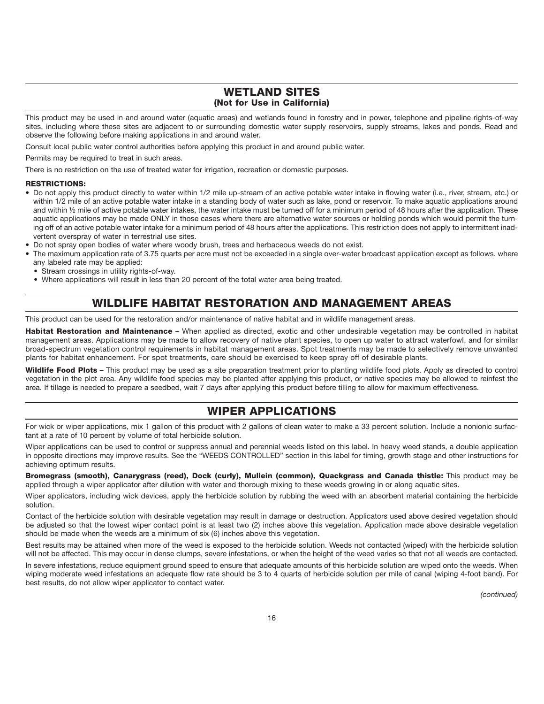# **WETLAND SITES (Not for Use in California)**

This product may be used in and around water (aquatic areas) and wetlands found in forestry and in power, telephone and pipeline rights-of-way sites, including where these sites are adjacent to or surrounding domestic water supply reservoirs, supply streams, lakes and ponds. Read and observe the following before making applications in and around water.

Consult local public water control authorities before applying this product in and around public water.

Permits may be required to treat in such areas.

There is no restriction on the use of treated water for irrigation, recreation or domestic purposes.

#### **RESTRICTIONS:**

- Do not apply this product directly to water within 1/2 mile up-stream of an active potable water intake in flowing water (i.e., river, stream, etc.) or within 1/2 mile of an active potable water intake in a standing body of water such as lake, pond or reservoir. To make aquatic applications around and within ½ mile of active potable water intakes, the water intake must be turned off for a minimum period of 48 hours after the application. These aquatic applications may be made ONLY in those cases where there are alternative water sources or holding ponds which would permit the turning off of an active potable water intake for a minimum period of 48 hours after the applications. This restriction does not apply to intermittent inadvertent overspray of water in terrestrial use sites.
- Do not spray open bodies of water where woody brush, trees and herbaceous weeds do not exist.
- The maximum application rate of 3.75 quarts per acre must not be exceeded in a single over-water broadcast application except as follows, where any labeled rate may be applied:
	- Stream crossings in utility rights-of-way.
	- Where applications will result in less than 20 percent of the total water area being treated.

# **WILDLIFE HABITAT RESTORATION AND MANAGEMENT AREAS**

This product can be used for the restoration and/or maintenance of native habitat and in wildlife management areas.

**Habitat Restoration and Maintenance –** When applied as directed, exotic and other undesirable vegetation may be controlled in habitat management areas. Applications may be made to allow recovery of native plant species, to open up water to attract waterfowl, and for similar broad-spectrum vegetation control requirements in habitat management areas. Spot treatments may be made to selectively remove unwanted plants for habitat enhancement. For spot treatments, care should be exercised to keep spray off of desirable plants.

**Wildlife Food Plots –** This product may be used as a site preparation treatment prior to planting wildlife food plots. Apply as directed to control vegetation in the plot area. Any wildlife food species may be planted after applying this product, or native species may be allowed to reinfest the area. If tillage is needed to prepare a seedbed, wait 7 days after applying this product before tilling to allow for maximum effectiveness.

# **WIPER APPLICATIONS**

For wick or wiper applications, mix 1 gallon of this product with 2 gallons of clean water to make a 33 percent solution. Include a nonionic surfactant at a rate of 10 percent by volume of total herbicide solution.

Wiper applications can be used to control or suppress annual and perennial weeds listed on this label. In heavy weed stands, a double application in opposite directions may improve results. See the "WEEDS CONTROLLED" section in this label for timing, growth stage and other instructions for achieving optimum results.

**Bromegrass (smooth), Canarygrass (reed), Dock (curly), Mullein (common), Quackgrass and Canada thistle:** This product may be applied through a wiper applicator after dilution with water and thorough mixing to these weeds growing in or along aquatic sites.

Wiper applicators, including wick devices, apply the herbicide solution by rubbing the weed with an absorbent material containing the herbicide solution.

Contact of the herbicide solution with desirable vegetation may result in damage or destruction. Applicators used above desired vegetation should be adjusted so that the lowest wiper contact point is at least two (2) inches above this vegetation. Application made above desirable vegetation should be made when the weeds are a minimum of six (6) inches above this vegetation.

Best results may be attained when more of the weed is exposed to the herbicide solution. Weeds not contacted (wiped) with the herbicide solution will not be affected. This may occur in dense clumps, severe infestations, or when the height of the weed varies so that not all weeds are contacted.

In severe infestations, reduce equipment ground speed to ensure that adequate amounts of this herbicide solution are wiped onto the weeds. When wiping moderate weed infestations an adequate flow rate should be 3 to 4 quarts of herbicide solution per mile of canal (wiping 4-foot band). For best results, do not allow wiper applicator to contact water.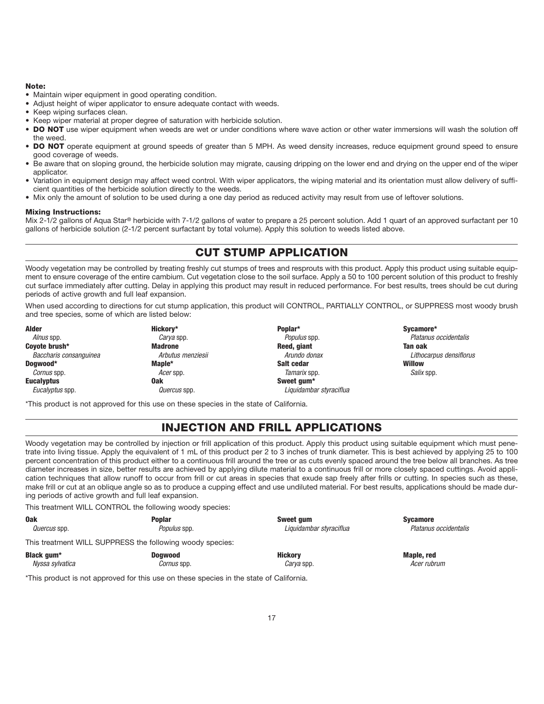#### **Note:**

- Maintain wiper equipment in good operating condition.
- Adjust height of wiper applicator to ensure adequate contact with weeds.
- Keep wiping surfaces clean.
- Keep wiper material at proper degree of saturation with herbicide solution.
- **DO NOT** use wiper equipment when weeds are wet or under conditions where wave action or other water immersions will wash the solution off the weed.
- **DO NOT** operate equipment at ground speeds of greater than 5 MPH. As weed density increases, reduce equipment ground speed to ensure good coverage of weeds.
- Be aware that on sloping ground, the herbicide solution may migrate, causing dripping on the lower end and drying on the upper end of the wiper applicator.
- Variation in equipment design may affect weed control. With wiper applicators, the wiping material and its orientation must allow delivery of sufficient quantities of the herbicide solution directly to the weeds.
- Mix only the amount of solution to be used during a one day period as reduced activity may result from use of leftover solutions.

#### **Mixing Instructions:**

Mix 2-1/2 gallons of Aqua Star**®** herbicide with 7-1/2 gallons of water to prepare a 25 percent solution. Add 1 quart of an approved surfactant per 10 gallons of herbicide solution (2-1/2 percent surfactant by total volume). Apply this solution to weeds listed above.

# **CUT STUMP APPLICATION**

Woody vegetation may be controlled by treating freshly cut stumps of trees and resprouts with this product. Apply this product using suitable equipment to ensure coverage of the entire cambium. Cut vegetation close to the soil surface. Apply a 50 to 100 percent solution of this product to freshly cut surface immediately after cutting. Delay in applying this product may result in reduced performance. For best results, trees should be cut during periods of active growth and full leaf expansion.

When used according to directions for cut stump application, this product will CONTROL, PARTIALLY CONTROL, or SUPPRESS most woody brush and tree species, some of which are listed below:

**Alder Hickory\* Poplar\* Sycamore\*** Alnus spp. Carya spp. Populus spp. Platanus occidentalis **Coyote brush\* Madrone Reed, giant Tan oak** Baccharis consanguinea **Arbutus menziesii** Arundo donax Arundo donax Lithocarpus densiflorus **Arbutus menziesii Dogwood\* Maple\* Salt cedar Willow** Cornus spp. Salix spp. Acer spp. Acer spp. Tamarix spp. Salix spp. Salix spp. Salix spp. **Eucalyptus Oak Sweet gum\*** Eucalyptus spp. Quercus spp. Liquidambar styraciflua

\*This product is not approved for this use on these species in the state of California.

# **INJECTION AND FRILL APPLICATIONS**

Woody vegetation may be controlled by injection or frill application of this product. Apply this product using suitable equipment which must penetrate into living tissue. Apply the equivalent of 1 mL of this product per 2 to 3 inches of trunk diameter. This is best achieved by applying 25 to 100 percent concentration of this product either to a continuous frill around the tree or as cuts evenly spaced around the tree below all branches. As tree diameter increases in size, better results are achieved by applying dilute material to a continuous frill or more closely spaced cuttings. Avoid application techniques that allow runoff to occur from frill or cut areas in species that exude sap freely after frills or cutting. In species such as these, make frill or cut at an oblique angle so as to produce a cupping effect and use undiluted material. For best results, applications should be made during periods of active growth and full leaf expansion.

This treatment WILL CONTROL the following woody species:

| <b>Oak</b><br><i>Quercus</i> spp. | <b>Poplar</b><br>Populus spp.                             | Sweet gum<br>Liquidambar styraciflua | <b>Sycamore</b><br>Platanus occidentalis |
|-----------------------------------|-----------------------------------------------------------|--------------------------------------|------------------------------------------|
|                                   | This treatment WILL SUPPRESS the following woody species: |                                      |                                          |
| Black gum*                        | <b>Doawood</b>                                            | <b>Hickory</b>                       | Maple, red                               |
| Nyssa sylvatica                   | <i>Cornus</i> spp.                                        | <i>Carva</i> spp.                    | Acer rubrum                              |

\*This product is not approved for this use on these species in the state of California.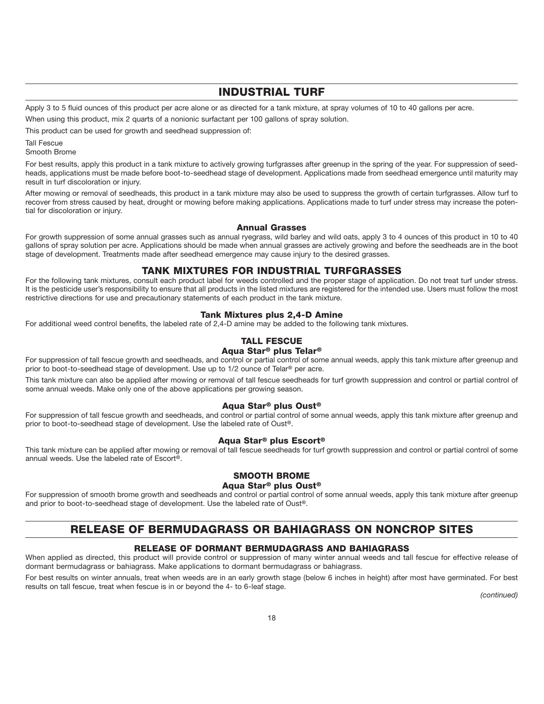# **INDUSTRIAL TURF**

Apply 3 to 5 fluid ounces of this product per acre alone or as directed for a tank mixture, at spray volumes of 10 to 40 gallons per acre.

When using this product, mix 2 quarts of a nonionic surfactant per 100 gallons of spray solution.

This product can be used for growth and seedhead suppression of:

Tall Fescue Smooth Brome

For best results, apply this product in a tank mixture to actively growing turfgrasses after greenup in the spring of the year. For suppression of seedheads, applications must be made before boot-to-seedhead stage of development. Applications made from seedhead emergence until maturity may result in turf discoloration or injury.

After mowing or removal of seedheads, this product in a tank mixture may also be used to suppress the growth of certain turfgrasses. Allow turf to recover from stress caused by heat, drought or mowing before making applications. Applications made to turf under stress may increase the potential for discoloration or injury.

### **Annual Grasses**

For growth suppression of some annual grasses such as annual ryegrass, wild barley and wild oats, apply 3 to 4 ounces of this product in 10 to 40 gallons of spray solution per acre. Applications should be made when annual grasses are actively growing and before the seedheads are in the boot stage of development. Treatments made after seedhead emergence may cause injury to the desired grasses.

### **TANK MIXTURES FOR INDUSTRIAL TURFGRASSES**

For the following tank mixtures, consult each product label for weeds controlled and the proper stage of application. Do not treat turf under stress. It is the pesticide user's responsibility to ensure that all products in the listed mixtures are registered for the intended use. Users must follow the most restrictive directions for use and precautionary statements of each product in the tank mixture.

### **Tank Mixtures plus 2,4-D Amine**

For additional weed control benefits, the labeled rate of 2,4-D amine may be added to the following tank mixtures.

# **TALL FESCUE**

### **Aqua Star® plus Telar®**

For suppression of tall fescue growth and seedheads, and control or partial control of some annual weeds, apply this tank mixture after greenup and prior to boot-to-seedhead stage of development. Use up to 1/2 ounce of Telar**®** per acre.

This tank mixture can also be applied after mowing or removal of tall fescue seedheads for turf growth suppression and control or partial control of some annual weeds. Make only one of the above applications per growing season.

### **Aqua Star® plus Oust®**

For suppression of tall fescue growth and seedheads, and control or partial control of some annual weeds, apply this tank mixture after greenup and prior to boot-to-seedhead stage of development. Use the labeled rate of Oust**®**.

#### **Aqua Star® plus Escort®**

This tank mixture can be applied after mowing or removal of tall fescue seedheads for turf growth suppression and control or partial control of some annual weeds. Use the labeled rate of Escort**®**.

### **SMOOTH BROME**

### **Aqua Star® plus Oust®**

For suppression of smooth brome growth and seedheads and control or partial control of some annual weeds, apply this tank mixture after greenup and prior to boot-to-seedhead stage of development. Use the labeled rate of Oust**®**.

# **RELEASE OF BERMUDAGRASS OR BAHIAGRASS ON NONCROP SITES**

### **RELEASE OF DORMANT BERMUDAGRASS AND BAHIAGRASS**

When applied as directed, this product will provide control or suppression of many winter annual weeds and tall fescue for effective release of dormant bermudagrass or bahiagrass. Make applications to dormant bermudagrass or bahiagrass.

For best results on winter annuals, treat when weeds are in an early growth stage (below 6 inches in height) after most have germinated. For best results on tall fescue, treat when fescue is in or beyond the 4- to 6-leaf stage.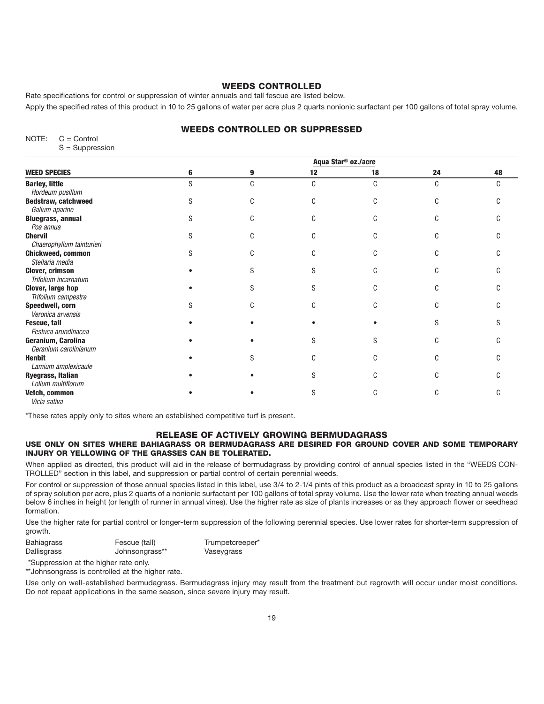### **WEEDS CONTROLLED**

Rate specifications for control or suppression of winter annuals and tall fescue are listed below.

Apply the specified rates of this product in 10 to 25 gallons of water per acre plus 2 quarts nonionic surfactant per 100 gallons of total spray volume.

### **WEEDS CONTROLLED OR SUPPRESSED**

| NOTE: | $C =$ Control     |
|-------|-------------------|
|       | $S -$ Supprocesso |

| $S =$ Suppression |  |
|-------------------|--|
|                   |  |

|                                                |   |   | Aqua Star <sup>®</sup> oz./acre |    |    |    |
|------------------------------------------------|---|---|---------------------------------|----|----|----|
| <b>WEED SPECIES</b>                            | 6 | 9 | 12                              | 18 | 24 | 48 |
| <b>Barley, little</b><br>Hordeum pusillum      | S | C | C                               | C  | C  |    |
| <b>Bedstraw, catchweed</b><br>Galium aparine   |   | C |                                 |    |    |    |
| <b>Bluegrass, annual</b><br>Poa annua          |   |   |                                 |    |    |    |
| <b>Chervil</b><br>Chaerophyllum tainturieri    |   | C |                                 |    |    |    |
| <b>Chickweed, common</b><br>Stellaria media    |   |   |                                 |    |    |    |
| <b>Clover, crimson</b><br>Trifolium incarnatum |   |   |                                 |    |    |    |
| Clover, large hop<br>Trifolium campestre       |   | S |                                 |    |    |    |
| Speedwell, corn<br>Veronica arvensis           |   |   |                                 |    |    |    |
| Fescue, tall<br>Festuca arundinacea            |   |   |                                 |    |    |    |
| Geranium, Carolina<br>Geranium carolinianum    |   |   |                                 |    |    |    |
| <b>Henbit</b><br>Lamium amplexicaule           |   |   |                                 |    |    |    |
| Ryegrass, Italian<br>Lolium multiflorum        |   |   |                                 |    |    |    |
| Vetch, common<br>Vicia sativa                  |   |   |                                 |    |    |    |

\*These rates apply only to sites where an established competitive turf is present.

### **RELEASE OF ACTIVELY GROWING BERMUDAGRASS**

### **USE ONLY ON SITES WHERE BAHIAGRASS OR BERMUDAGRASS ARE DESIRED FOR GROUND COVER AND SOME TEMPORARY INJURY OR YELLOWING OF THE GRASSES CAN BE TOLERATED.**

When applied as directed, this product will aid in the release of bermudagrass by providing control of annual species listed in the "WEEDS CON-TROLLED" section in this label, and suppression or partial control of certain perennial weeds.

For control or suppression of those annual species listed in this label, use 3/4 to 2-1/4 pints of this product as a broadcast spray in 10 to 25 gallons of spray solution per acre, plus 2 quarts of a nonionic surfactant per 100 gallons of total spray volume. Use the lower rate when treating annual weeds below 6 inches in height (or length of runner in annual vines). Use the higher rate as size of plants increases or as they approach flower or seedhead formation.

Use the higher rate for partial control or longer-term suppression of the following perennial species. Use lower rates for shorter-term suppression of growth.

| <b>Bahiagrass</b> | Fescue (tall)  | Trumpetcreeper* |
|-------------------|----------------|-----------------|
| Dallisgrass       | Johnsongrass** | Vaseygrass      |

\*Suppression at the higher rate only.

\*\*Johnsongrass is controlled at the higher rate.

Use only on well-established bermudagrass. Bermudagrass injury may result from the treatment but regrowth will occur under moist conditions. Do not repeat applications in the same season, since severe injury may result.